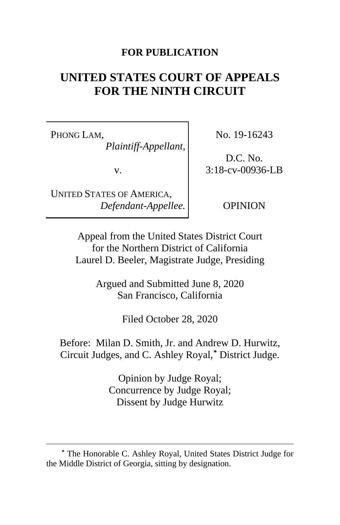#### **FOR PUBLICATION**

# **UNITED STATES COURT OF APPEALS FOR THE NINTH CIRCUIT**

PHONG LAM, *Plaintiff-Appellant*,

v.

UNITED STATES OF AMERICA, *Defendant-Appellee.* No. 19-16243

D.C. No. 3:18-cv-00936-LB

OPINION

Appeal from the United States District Court for the Northern District of California Laurel D. Beeler, Magistrate Judge, Presiding

> Argued and Submitted June 8, 2020 San Francisco, California

> > Filed October 28, 2020

Before: Milan D. Smith, Jr. and Andrew D. Hurwitz, Circuit Judges, and C. Ashley Royal,**[\\*](#page-0-0)** District Judge.

> Opinion by Judge Royal; Concurrence by Judge Royal; Dissent by Judge Hurwitz

<span id="page-0-0"></span>**<sup>\*</sup>** The Honorable C. Ashley Royal, United States District Judge for the Middle District of Georgia, sitting by designation.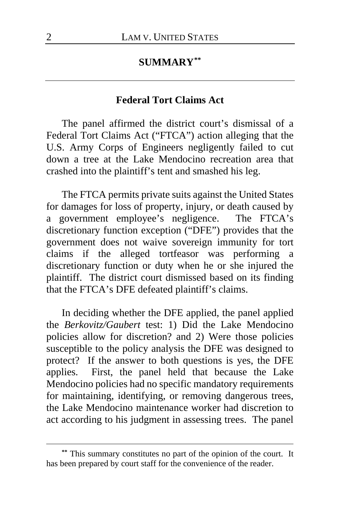### **SUMMARY[\\*\\*](#page-1-0)**

#### **Federal Tort Claims Act**

The panel affirmed the district court's dismissal of a Federal Tort Claims Act ("FTCA") action alleging that the U.S. Army Corps of Engineers negligently failed to cut down a tree at the Lake Mendocino recreation area that crashed into the plaintiff's tent and smashed his leg.

The FTCA permits private suits against the United States for damages for loss of property, injury, or death caused by a government employee's negligence. The FTCA's discretionary function exception ("DFE") provides that the government does not waive sovereign immunity for tort claims if the alleged tortfeasor was performing a discretionary function or duty when he or she injured the plaintiff. The district court dismissed based on its finding that the FTCA's DFE defeated plaintiff's claims.

In deciding whether the DFE applied, the panel applied the *Berkovitz/Gaubert* test: 1) Did the Lake Mendocino policies allow for discretion? and 2) Were those policies susceptible to the policy analysis the DFE was designed to protect? If the answer to both questions is yes, the DFE applies. First, the panel held that because the Lake Mendocino policies had no specific mandatory requirements for maintaining, identifying, or removing dangerous trees, the Lake Mendocino maintenance worker had discretion to act according to his judgment in assessing trees. The panel

<span id="page-1-0"></span>**<sup>\*\*</sup>** This summary constitutes no part of the opinion of the court. It has been prepared by court staff for the convenience of the reader.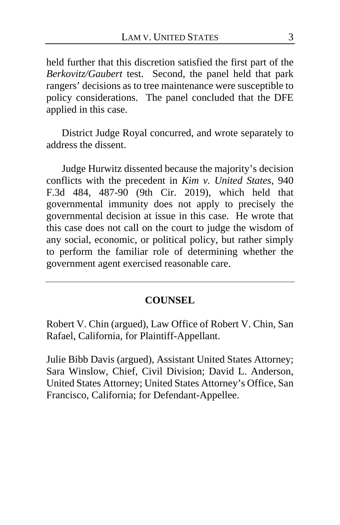held further that this discretion satisfied the first part of the *Berkovitz/Gaubert* test. Second, the panel held that park rangers' decisions as to tree maintenance were susceptible to policy considerations. The panel concluded that the DFE applied in this case.

District Judge Royal concurred, and wrote separately to address the dissent.

Judge Hurwitz dissented because the majority's decision conflicts with the precedent in *Kim v. United States*, 940 F.3d 484, 487-90 (9th Cir. 2019), which held that governmental immunity does not apply to precisely the governmental decision at issue in this case. He wrote that this case does not call on the court to judge the wisdom of any social, economic, or political policy, but rather simply to perform the familiar role of determining whether the government agent exercised reasonable care.

#### **COUNSEL**

Robert V. Chin (argued), Law Office of Robert V. Chin, San Rafael, California, for Plaintiff-Appellant.

Julie Bibb Davis (argued), Assistant United States Attorney; Sara Winslow, Chief, Civil Division; David L. Anderson, United States Attorney; United States Attorney's Office, San Francisco, California; for Defendant-Appellee.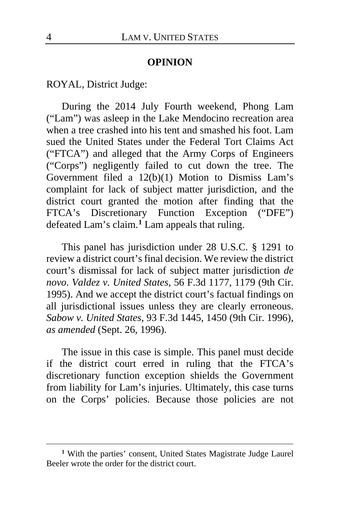#### **OPINION**

ROYAL, District Judge:

During the 2014 July Fourth weekend, Phong Lam ("Lam") was asleep in the Lake Mendocino recreation area when a tree crashed into his tent and smashed his foot. Lam sued the United States under the Federal Tort Claims Act ("FTCA") and alleged that the Army Corps of Engineers ("Corps") negligently failed to cut down the tree. The Government filed a 12(b)(1) Motion to Dismiss Lam's complaint for lack of subject matter jurisdiction, and the district court granted the motion after finding that the FTCA's Discretionary Function Exception ("DFE") defeated Lam's claim.**[1](#page-3-0)** Lam appeals that ruling.

This panel has jurisdiction under 28 U.S.C. § 1291 to review a district court's final decision. We review the district court's dismissal for lack of subject matter jurisdiction *de novo*. *Valdez v. United States*, 56 F.3d 1177, 1179 (9th Cir. 1995). And we accept the district court's factual findings on all jurisdictional issues unless they are clearly erroneous. *Sabow v. United States*, 93 F.3d 1445, 1450 (9th Cir. 1996), *as amended* (Sept. 26, 1996).

The issue in this case is simple. This panel must decide if the district court erred in ruling that the FTCA's discretionary function exception shields the Government from liability for Lam's injuries. Ultimately, this case turns on the Corps' policies. Because those policies are not

<span id="page-3-0"></span>**<sup>1</sup>** With the parties' consent, United States Magistrate Judge Laurel Beeler wrote the order for the district court.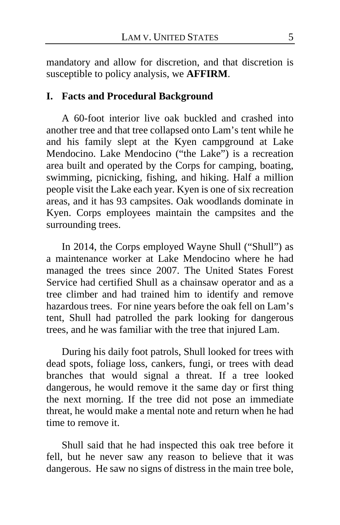mandatory and allow for discretion, and that discretion is susceptible to policy analysis, we **AFFIRM**.

# **I. Facts and Procedural Background**

A 60-foot interior live oak buckled and crashed into another tree and that tree collapsed onto Lam's tent while he and his family slept at the Kyen campground at Lake Mendocino. Lake Mendocino ("the Lake") is a recreation area built and operated by the Corps for camping, boating, swimming, picnicking, fishing, and hiking. Half a million people visit the Lake each year. Kyen is one of six recreation areas, and it has 93 campsites. Oak woodlands dominate in Kyen. Corps employees maintain the campsites and the surrounding trees.

In 2014, the Corps employed Wayne Shull ("Shull") as a maintenance worker at Lake Mendocino where he had managed the trees since 2007. The United States Forest Service had certified Shull as a chainsaw operator and as a tree climber and had trained him to identify and remove hazardous trees. For nine years before the oak fell on Lam's tent, Shull had patrolled the park looking for dangerous trees, and he was familiar with the tree that injured Lam.

During his daily foot patrols, Shull looked for trees with dead spots, foliage loss, cankers, fungi, or trees with dead branches that would signal a threat. If a tree looked dangerous, he would remove it the same day or first thing the next morning. If the tree did not pose an immediate threat, he would make a mental note and return when he had time to remove it.

Shull said that he had inspected this oak tree before it fell, but he never saw any reason to believe that it was dangerous. He saw no signs of distress in the main tree bole,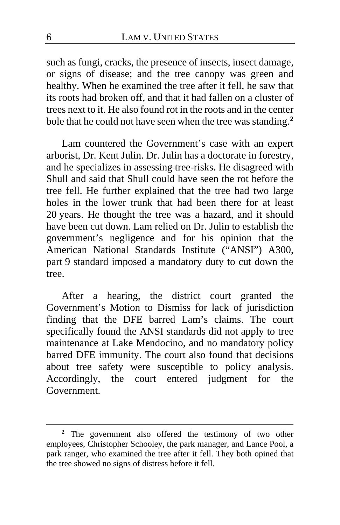such as fungi, cracks, the presence of insects, insect damage, or signs of disease; and the tree canopy was green and healthy. When he examined the tree after it fell, he saw that its roots had broken off, and that it had fallen on a cluster of trees next to it. He also found rot in the roots and in the center bole that he could not have seen when the tree was standing.**[2](#page-5-0)**

Lam countered the Government's case with an expert arborist, Dr. Kent Julin. Dr. Julin has a doctorate in forestry, and he specializes in assessing tree-risks. He disagreed with Shull and said that Shull could have seen the rot before the tree fell. He further explained that the tree had two large holes in the lower trunk that had been there for at least 20 years. He thought the tree was a hazard, and it should have been cut down. Lam relied on Dr. Julin to establish the government's negligence and for his opinion that the American National Standards Institute ("ANSI") A300, part 9 standard imposed a mandatory duty to cut down the tree.

After a hearing, the district court granted the Government's Motion to Dismiss for lack of jurisdiction finding that the DFE barred Lam's claims. The court specifically found the ANSI standards did not apply to tree maintenance at Lake Mendocino, and no mandatory policy barred DFE immunity. The court also found that decisions about tree safety were susceptible to policy analysis. Accordingly, the court entered judgment for the Government.

<span id="page-5-0"></span>**<sup>2</sup>** The government also offered the testimony of two other employees, Christopher Schooley, the park manager, and Lance Pool, a park ranger, who examined the tree after it fell. They both opined that the tree showed no signs of distress before it fell.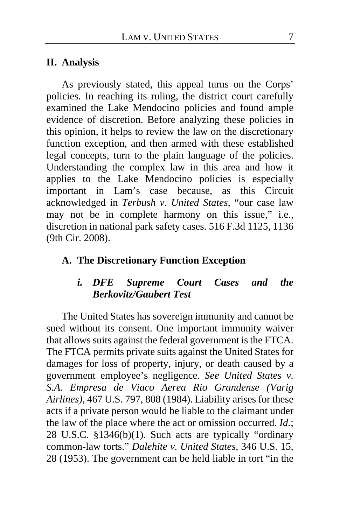#### **II. Analysis**

As previously stated, this appeal turns on the Corps' policies. In reaching its ruling, the district court carefully examined the Lake Mendocino policies and found ample evidence of discretion. Before analyzing these policies in this opinion, it helps to review the law on the discretionary function exception, and then armed with these established legal concepts, turn to the plain language of the policies. Understanding the complex law in this area and how it applies to the Lake Mendocino policies is especially important in Lam's case because, as this Circuit acknowledged in *Terbush v. United States*, "our case law may not be in complete harmony on this issue," i.e., discretion in national park safety cases. 516 F.3d 1125, 1136 (9th Cir. 2008).

## **A. The Discretionary Function Exception**

# *i. DFE Supreme Court Cases and the Berkovitz/Gaubert Test*

The United States has sovereign immunity and cannot be sued without its consent. One important immunity waiver that allows suits against the federal government is the FTCA. The FTCA permits private suits against the United States for damages for loss of property, injury, or death caused by a government employee's negligence. *See United States v. S.A. Empresa de Viaco Aerea Rio Grandense (Varig Airlines)*, 467 U.S. 797, 808 (1984). Liability arises for these acts if a private person would be liable to the claimant under the law of the place where the act or omission occurred. *Id.*; 28 U.S.C. §1346(b)(1). Such acts are typically "ordinary common-law torts." *Dalehite v. United States*, 346 U.S. 15, 28 (1953). The government can be held liable in tort "in the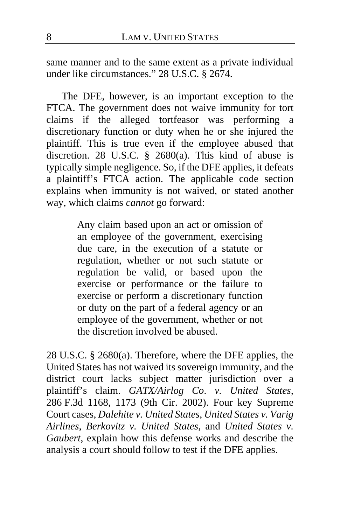same manner and to the same extent as a private individual under like circumstances." 28 U.S.C. § 2674.

The DFE, however, is an important exception to the FTCA. The government does not waive immunity for tort claims if the alleged tortfeasor was performing a discretionary function or duty when he or she injured the plaintiff. This is true even if the employee abused that discretion. 28 U.S.C. § 2680(a). This kind of abuse is typically simple negligence. So, if the DFE applies, it defeats a plaintiff's FTCA action. The applicable code section explains when immunity is not waived, or stated another way, which claims *cannot* go forward:

> Any claim based upon an act or omission of an employee of the government, exercising due care, in the execution of a statute or regulation, whether or not such statute or regulation be valid, or based upon the exercise or performance or the failure to exercise or perform a discretionary function or duty on the part of a federal agency or an employee of the government, whether or not the discretion involved be abused.

28 U.S.C. § 2680(a). Therefore, where the DFE applies, the United States has not waived its sovereign immunity, and the district court lacks subject matter jurisdiction over a plaintiff's claim. *GATX/Airlog Co*. *v. United States*, 286 F.3d 1168, 1173 (9th Cir. 2002). Four key Supreme Court cases, *Dalehite v. United States*, *United States v. Varig Airlines*, *Berkovitz v. United States*, and *United States v. Gaubert*, explain how this defense works and describe the analysis a court should follow to test if the DFE applies.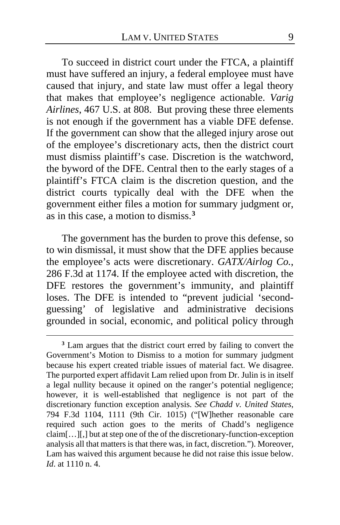To succeed in district court under the FTCA, a plaintiff must have suffered an injury, a federal employee must have caused that injury, and state law must offer a legal theory that makes that employee's negligence actionable. *Varig Airlines*, 467 U.S. at 808. But proving these three elements is not enough if the government has a viable DFE defense. If the government can show that the alleged injury arose out of the employee's discretionary acts, then the district court must dismiss plaintiff's case. Discretion is the watchword, the byword of the DFE. Central then to the early stages of a plaintiff's FTCA claim is the discretion question, and the district courts typically deal with the DFE when the government either files a motion for summary judgment or, as in this case, a motion to dismiss.**[3](#page-8-0)**

The government has the burden to prove this defense, so to win dismissal, it must show that the DFE applies because the employee's acts were discretionary. *GATX/Airlog Co.*, 286 F.3d at 1174. If the employee acted with discretion, the DFE restores the government's immunity, and plaintiff loses. The DFE is intended to "prevent judicial 'secondguessing' of legislative and administrative decisions grounded in social, economic, and political policy through

<span id="page-8-0"></span>**<sup>3</sup>** Lam argues that the district court erred by failing to convert the Government's Motion to Dismiss to a motion for summary judgment because his expert created triable issues of material fact. We disagree. The purported expert affidavit Lam relied upon from Dr. Julin is in itself a legal nullity because it opined on the ranger's potential negligence; however, it is well-established that negligence is not part of the discretionary function exception analysis. *See Chadd v. United States*, 794 F.3d 1104, 1111 (9th Cir. 1015) ("[W]hether reasonable care required such action goes to the merits of Chadd's negligence claim[…][,] but at step one of the of the discretionary-function-exception analysis all that matters is that there was, in fact, discretion."). Moreover, Lam has waived this argument because he did not raise this issue below. *Id*. at 1110 n. 4.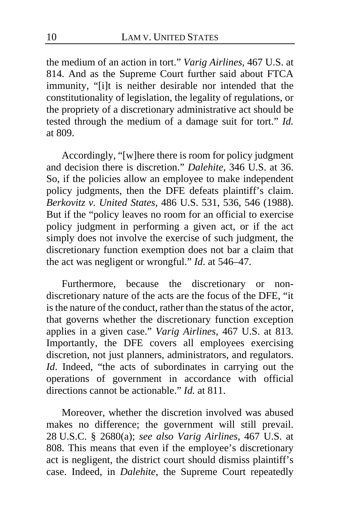the medium of an action in tort." *Varig Airlines*, 467 U.S. at 814. And as the Supreme Court further said about FTCA immunity, "[i]t is neither desirable nor intended that the constitutionality of legislation, the legality of regulations, or the propriety of a discretionary administrative act should be tested through the medium of a damage suit for tort." *Id.*  at 809.

Accordingly, "[w]here there is room for policy judgment and decision there is discretion." *Dalehite*, 346 U.S. at 36. So, if the policies allow an employee to make independent policy judgments, then the DFE defeats plaintiff's claim. *Berkovitz v. United States*, 486 U.S. 531, 536, 546 (1988). But if the "policy leaves no room for an official to exercise policy judgment in performing a given act, or if the act simply does not involve the exercise of such judgment, the discretionary function exemption does not bar a claim that the act was negligent or wrongful." *Id*. at 546–47.

Furthermore, because the discretionary or nondiscretionary nature of the acts are the focus of the DFE, "it is the nature of the conduct, rather than the status of the actor, that governs whether the discretionary function exception applies in a given case." *Varig Airlines*, 467 U.S. at 813. Importantly, the DFE covers all employees exercising discretion, not just planners, administrators, and regulators. *Id*. Indeed, "the acts of subordinates in carrying out the operations of government in accordance with official directions cannot be actionable." *Id.* at 811.

Moreover, whether the discretion involved was abused makes no difference; the government will still prevail. 28 U.S.C. § 2680(a); *see also Varig Airlines*, 467 U.S. at 808. This means that even if the employee's discretionary act is negligent, the district court should dismiss plaintiff's case. Indeed, in *Dalehite*, the Supreme Court repeatedly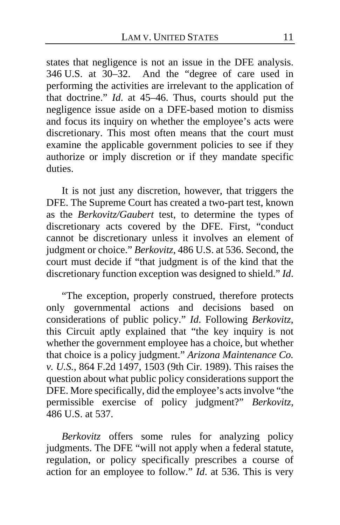states that negligence is not an issue in the DFE analysis. 346 U.S. at 30–32. And the "degree of care used in performing the activities are irrelevant to the application of that doctrine." *Id*. at 45–46. Thus, courts should put the negligence issue aside on a DFE-based motion to dismiss and focus its inquiry on whether the employee's acts were discretionary. This most often means that the court must examine the applicable government policies to see if they authorize or imply discretion or if they mandate specific duties.

It is not just any discretion, however, that triggers the DFE. The Supreme Court has created a two-part test, known as the *Berkovitz/Gaubert* test, to determine the types of discretionary acts covered by the DFE. First, "conduct cannot be discretionary unless it involves an element of judgment or choice." *Berkovitz*, 486 U.S. at 536. Second, the court must decide if "that judgment is of the kind that the discretionary function exception was designed to shield." *Id*.

"The exception, properly construed, therefore protects only governmental actions and decisions based on considerations of public policy." *Id*. Following *Berkovitz*, this Circuit aptly explained that "the key inquiry is not whether the government employee has a choice, but whether that choice is a policy judgment." *Arizona Maintenance Co. v. U.S.*, 864 F.2d 1497, 1503 (9th Cir. 1989). This raises the question about what public policy considerations support the DFE. More specifically, did the employee's acts involve "the permissible exercise of policy judgment?" *Berkovitz*, 486 U.S. at 537.

*Berkovitz* offers some rules for analyzing policy judgments. The DFE "will not apply when a federal statute, regulation, or policy specifically prescribes a course of action for an employee to follow." *Id*. at 536. This is very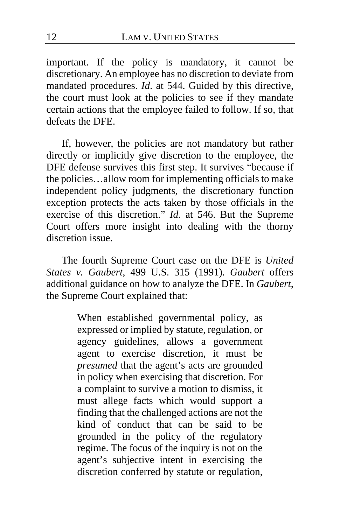important. If the policy is mandatory, it cannot be discretionary. An employee has no discretion to deviate from mandated procedures. *Id*. at 544. Guided by this directive, the court must look at the policies to see if they mandate certain actions that the employee failed to follow. If so, that defeats the DFE.

If, however, the policies are not mandatory but rather directly or implicitly give discretion to the employee, the DFE defense survives this first step. It survives "because if the policies…allow room for implementing officials to make independent policy judgments, the discretionary function exception protects the acts taken by those officials in the exercise of this discretion." *Id.* at 546. But the Supreme Court offers more insight into dealing with the thorny discretion issue.

The fourth Supreme Court case on the DFE is *United States v. Gaubert*, 499 U.S. 315 (1991). *Gaubert* offers additional guidance on how to analyze the DFE. In *Gaubert*, the Supreme Court explained that:

> When established governmental policy, as expressed or implied by statute, regulation, or agency guidelines, allows a government agent to exercise discretion, it must be *presumed* that the agent's acts are grounded in policy when exercising that discretion. For a complaint to survive a motion to dismiss, it must allege facts which would support a finding that the challenged actions are not the kind of conduct that can be said to be grounded in the policy of the regulatory regime. The focus of the inquiry is not on the agent's subjective intent in exercising the discretion conferred by statute or regulation,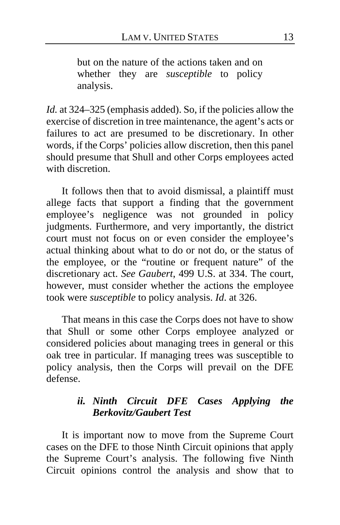but on the nature of the actions taken and on whether they are *susceptible* to policy analysis.

Id. at 324–325 (emphasis added). So, if the policies allow the exercise of discretion in tree maintenance, the agent's acts or failures to act are presumed to be discretionary. In other words, if the Corps' policies allow discretion, then this panel should presume that Shull and other Corps employees acted with discretion.

It follows then that to avoid dismissal, a plaintiff must allege facts that support a finding that the government employee's negligence was not grounded in policy judgments. Furthermore, and very importantly, the district court must not focus on or even consider the employee's actual thinking about what to do or not do, or the status of the employee, or the "routine or frequent nature" of the discretionary act. *See Gaubert*, 499 U.S. at 334. The court, however, must consider whether the actions the employee took were *susceptible* to policy analysis. *Id*. at 326.

That means in this case the Corps does not have to show that Shull or some other Corps employee analyzed or considered policies about managing trees in general or this oak tree in particular. If managing trees was susceptible to policy analysis, then the Corps will prevail on the DFE defense.

# *ii. Ninth Circuit DFE Cases Applying the Berkovitz/Gaubert Test*

It is important now to move from the Supreme Court cases on the DFE to those Ninth Circuit opinions that apply the Supreme Court's analysis. The following five Ninth Circuit opinions control the analysis and show that to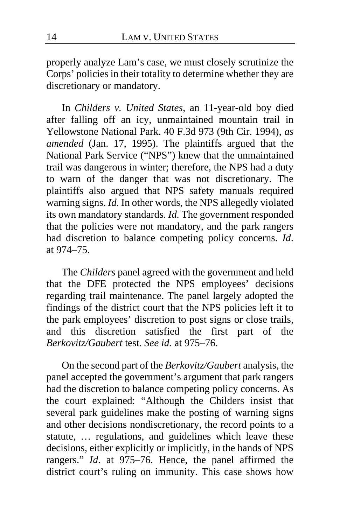properly analyze Lam's case, we must closely scrutinize the Corps' policies in their totality to determine whether they are discretionary or mandatory.

In *Childers v. United States*, an 11-year-old boy died after falling off an icy, unmaintained mountain trail in Yellowstone National Park. 40 F.3d 973 (9th Cir. 1994), *as amended* (Jan. 17, 1995). The plaintiffs argued that the National Park Service ("NPS") knew that the unmaintained trail was dangerous in winter; therefore, the NPS had a duty to warn of the danger that was not discretionary. The plaintiffs also argued that NPS safety manuals required warning signs. *Id.* In other words, the NPS allegedly violated its own mandatory standards. *Id.* The government responded that the policies were not mandatory, and the park rangers had discretion to balance competing policy concerns. *Id*. at 974–75.

The *Childers* panel agreed with the government and held that the DFE protected the NPS employees' decisions regarding trail maintenance. The panel largely adopted the findings of the district court that the NPS policies left it to the park employees' discretion to post signs or close trails, and this discretion satisfied the first part of the *Berkovitz/Gaubert* test*. See id.* at 975–76.

On the second part of the *Berkovitz/Gaubert* analysis, the panel accepted the government's argument that park rangers had the discretion to balance competing policy concerns. As the court explained: "Although the Childers insist that several park guidelines make the posting of warning signs and other decisions nondiscretionary, the record points to a statute, … regulations, and guidelines which leave these decisions, either explicitly or implicitly, in the hands of NPS rangers." *Id*. at 975–76. Hence, the panel affirmed the district court's ruling on immunity. This case shows how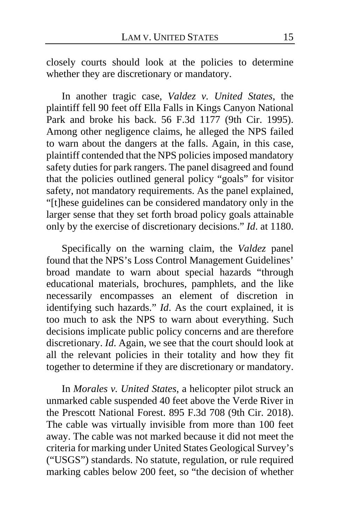closely courts should look at the policies to determine whether they are discretionary or mandatory.

In another tragic case, *Valdez v. United States*, the plaintiff fell 90 feet off Ella Falls in Kings Canyon National Park and broke his back. 56 F.3d 1177 (9th Cir. 1995). Among other negligence claims, he alleged the NPS failed to warn about the dangers at the falls. Again, in this case, plaintiff contended that the NPS policies imposed mandatory safety duties for park rangers. The panel disagreed and found that the policies outlined general policy "goals" for visitor safety, not mandatory requirements. As the panel explained, "[t]hese guidelines can be considered mandatory only in the larger sense that they set forth broad policy goals attainable only by the exercise of discretionary decisions." *Id*. at 1180.

Specifically on the warning claim, the *Valdez* panel found that the NPS's Loss Control Management Guidelines' broad mandate to warn about special hazards "through educational materials, brochures, pamphlets, and the like necessarily encompasses an element of discretion in identifying such hazards." *Id*. As the court explained, it is too much to ask the NPS to warn about everything. Such decisions implicate public policy concerns and are therefore discretionary. *Id*. Again, we see that the court should look at all the relevant policies in their totality and how they fit together to determine if they are discretionary or mandatory.

In *Morales v. United States*, a helicopter pilot struck an unmarked cable suspended 40 feet above the Verde River in the Prescott National Forest. 895 F.3d 708 (9th Cir. 2018). The cable was virtually invisible from more than 100 feet away. The cable was not marked because it did not meet the criteria for marking under United States Geological Survey's ("USGS") standards. No statute, regulation, or rule required marking cables below 200 feet, so "the decision of whether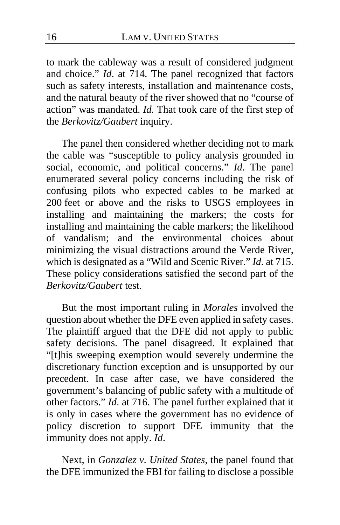to mark the cableway was a result of considered judgment and choice." *Id*. at 714. The panel recognized that factors such as safety interests, installation and maintenance costs, and the natural beauty of the river showed that no "course of action" was mandated. *Id.* That took care of the first step of the *Berkovitz/Gaubert* inquiry.

The panel then considered whether deciding not to mark the cable was "susceptible to policy analysis grounded in social, economic, and political concerns." *Id*. The panel enumerated several policy concerns including the risk of confusing pilots who expected cables to be marked at 200 feet or above and the risks to USGS employees in installing and maintaining the markers; the costs for installing and maintaining the cable markers; the likelihood of vandalism; and the environmental choices about minimizing the visual distractions around the Verde River, which is designated as a "Wild and Scenic River." *Id*. at 715. These policy considerations satisfied the second part of the *Berkovitz/Gaubert* test*.*

But the most important ruling in *Morales* involved the question about whether the DFE even applied in safety cases. The plaintiff argued that the DFE did not apply to public safety decisions. The panel disagreed. It explained that "[t]his sweeping exemption would severely undermine the discretionary function exception and is unsupported by our precedent. In case after case, we have considered the government's balancing of public safety with a multitude of other factors." *Id*. at 716. The panel further explained that it is only in cases where the government has no evidence of policy discretion to support DFE immunity that the immunity does not apply. *Id*.

Next, in *Gonzalez v. United States*, the panel found that the DFE immunized the FBI for failing to disclose a possible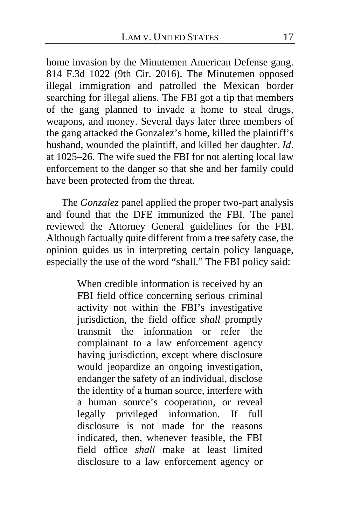home invasion by the Minutemen American Defense gang. 814 F.3d 1022 (9th Cir. 2016). The Minutemen opposed illegal immigration and patrolled the Mexican border searching for illegal aliens. The FBI got a tip that members of the gang planned to invade a home to steal drugs, weapons, and money. Several days later three members of the gang attacked the Gonzalez's home, killed the plaintiff's husband, wounded the plaintiff, and killed her daughter. *Id*. at 1025–26. The wife sued the FBI for not alerting local law enforcement to the danger so that she and her family could have been protected from the threat.

The *Gonzalez* panel applied the proper two-part analysis and found that the DFE immunized the FBI. The panel reviewed the Attorney General guidelines for the FBI. Although factually quite different from a tree safety case, the opinion guides us in interpreting certain policy language, especially the use of the word "shall." The FBI policy said:

> When credible information is received by an FBI field office concerning serious criminal activity not within the FBI's investigative jurisdiction, the field office *shall* promptly transmit the information or refer the complainant to a law enforcement agency having jurisdiction, except where disclosure would jeopardize an ongoing investigation, endanger the safety of an individual, disclose the identity of a human source, interfere with a human source's cooperation, or reveal legally privileged information. If full disclosure is not made for the reasons indicated, then, whenever feasible, the FBI field office *shall* make at least limited disclosure to a law enforcement agency or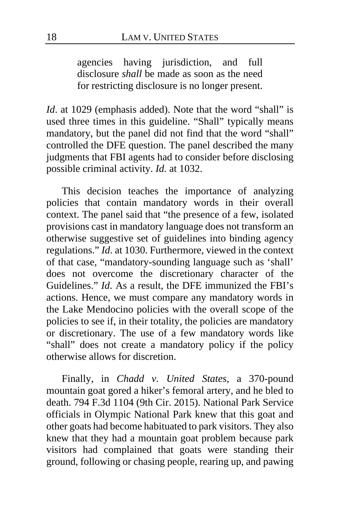agencies having jurisdiction, and full disclosure *shall* be made as soon as the need for restricting disclosure is no longer present.

*Id*. at 1029 (emphasis added). Note that the word "shall" is used three times in this guideline. "Shall" typically means mandatory, but the panel did not find that the word "shall" controlled the DFE question. The panel described the many judgments that FBI agents had to consider before disclosing possible criminal activity. *Id.* at 1032.

This decision teaches the importance of analyzing policies that contain mandatory words in their overall context. The panel said that "the presence of a few, isolated provisions cast in mandatory language does not transform an otherwise suggestive set of guidelines into binding agency regulations." *Id*. at 1030. Furthermore, viewed in the context of that case, "mandatory-sounding language such as 'shall' does not overcome the discretionary character of the Guidelines." *Id*. As a result, the DFE immunized the FBI's actions. Hence, we must compare any mandatory words in the Lake Mendocino policies with the overall scope of the policies to see if, in their totality, the policies are mandatory or discretionary. The use of a few mandatory words like "shall" does not create a mandatory policy if the policy otherwise allows for discretion.

Finally, in *Chadd v. United States*, a 370-pound mountain goat gored a hiker's femoral artery, and he bled to death. 794 F.3d 1104 (9th Cir. 2015). National Park Service officials in Olympic National Park knew that this goat and other goats had become habituated to park visitors. They also knew that they had a mountain goat problem because park visitors had complained that goats were standing their ground, following or chasing people, rearing up, and pawing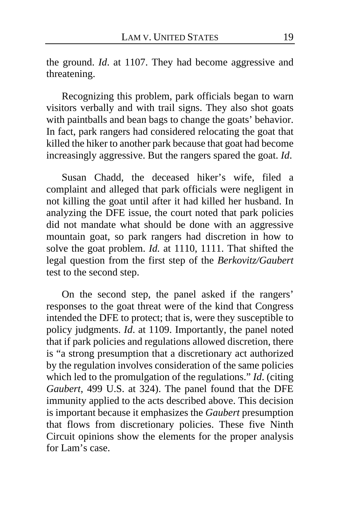the ground. *Id*. at 1107. They had become aggressive and threatening.

Recognizing this problem, park officials began to warn visitors verbally and with trail signs. They also shot goats with paintballs and bean bags to change the goats' behavior. In fact, park rangers had considered relocating the goat that killed the hiker to another park because that goat had become increasingly aggressive. But the rangers spared the goat. *Id*.

Susan Chadd, the deceased hiker's wife, filed a complaint and alleged that park officials were negligent in not killing the goat until after it had killed her husband. In analyzing the DFE issue, the court noted that park policies did not mandate what should be done with an aggressive mountain goat, so park rangers had discretion in how to solve the goat problem. *Id.* at 1110, 1111. That shifted the legal question from the first step of the *Berkovitz/Gaubert* test to the second step.

On the second step, the panel asked if the rangers' responses to the goat threat were of the kind that Congress intended the DFE to protect; that is, were they susceptible to policy judgments. *Id*. at 1109. Importantly, the panel noted that if park policies and regulations allowed discretion, there is "a strong presumption that a discretionary act authorized by the regulation involves consideration of the same policies which led to the promulgation of the regulations." *Id*. (citing *Gaubert*, 499 U.S. at 324). The panel found that the DFE immunity applied to the acts described above. This decision is important because it emphasizes the *Gaubert* presumption that flows from discretionary policies. These five Ninth Circuit opinions show the elements for the proper analysis for Lam's case.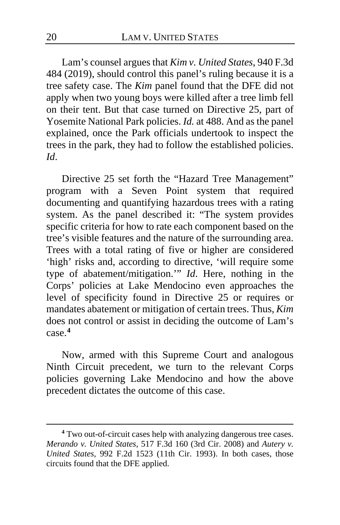Lam's counsel argues that *Kim v. United States*, 940 F.3d 484 (2019), should control this panel's ruling because it is a tree safety case. The *Kim* panel found that the DFE did not apply when two young boys were killed after a tree limb fell on their tent. But that case turned on Directive 25, part of Yosemite National Park policies. *Id.* at 488. And as the panel explained, once the Park officials undertook to inspect the trees in the park, they had to follow the established policies. *Id*.

Directive 25 set forth the "Hazard Tree Management" program with a Seven Point system that required documenting and quantifying hazardous trees with a rating system. As the panel described it: "The system provides specific criteria for how to rate each component based on the tree's visible features and the nature of the surrounding area. Trees with a total rating of five or higher are considered 'high' risks and, according to directive, 'will require some type of abatement/mitigation.'" *Id*. Here, nothing in the Corps' policies at Lake Mendocino even approaches the level of specificity found in Directive 25 or requires or mandates abatement or mitigation of certain trees. Thus, *Kim* does not control or assist in deciding the outcome of Lam's case.**[4](#page-19-0)**

Now, armed with this Supreme Court and analogous Ninth Circuit precedent, we turn to the relevant Corps policies governing Lake Mendocino and how the above precedent dictates the outcome of this case.

<span id="page-19-0"></span>**<sup>4</sup>** Two out-of-circuit cases help with analyzing dangerous tree cases. *Merando v. United States*, 517 F.3d 160 (3rd Cir. 2008) and *Autery v. United States*, 992 F.2d 1523 (11th Cir. 1993). In both cases, those circuits found that the DFE applied.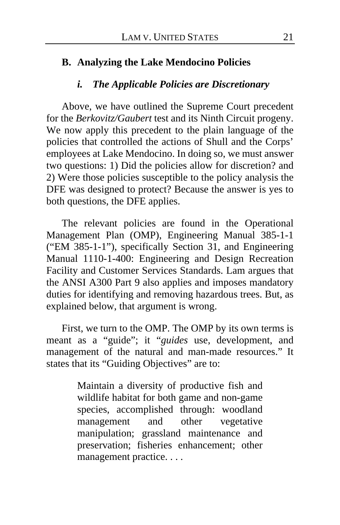#### **B. Analyzing the Lake Mendocino Policies**

#### *i. The Applicable Policies are Discretionary*

Above, we have outlined the Supreme Court precedent for the *Berkovitz/Gaubert* test and its Ninth Circuit progeny. We now apply this precedent to the plain language of the policies that controlled the actions of Shull and the Corps' employees at Lake Mendocino. In doing so, we must answer two questions: 1) Did the policies allow for discretion? and 2) Were those policies susceptible to the policy analysis the DFE was designed to protect? Because the answer is yes to both questions, the DFE applies.

The relevant policies are found in the Operational Management Plan (OMP), Engineering Manual 385-1-1 ("EM 385-1-1"), specifically Section 31, and Engineering Manual 1110-1-400: Engineering and Design Recreation Facility and Customer Services Standards. Lam argues that the ANSI A300 Part 9 also applies and imposes mandatory duties for identifying and removing hazardous trees. But, as explained below, that argument is wrong.

First, we turn to the OMP. The OMP by its own terms is meant as a "guide"; it "*guides* use, development, and management of the natural and man-made resources." It states that its "Guiding Objectives" are to:

> Maintain a diversity of productive fish and wildlife habitat for both game and non-game species, accomplished through: woodland<br>management and other vegetative management and other manipulation; grassland maintenance and preservation; fisheries enhancement; other management practice. . . .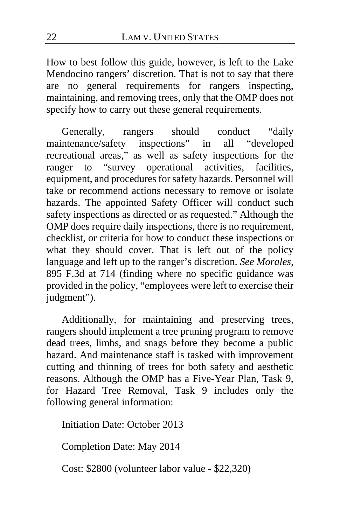How to best follow this guide, however, is left to the Lake Mendocino rangers' discretion. That is not to say that there are no general requirements for rangers inspecting, maintaining, and removing trees, only that the OMP does not specify how to carry out these general requirements.

Generally, rangers should conduct "daily intenance/safety inspections" in all "developed" maintenance/safety inspections" in all recreational areas," as well as safety inspections for the ranger to "survey operational activities, facilities, equipment, and procedures for safety hazards. Personnel will take or recommend actions necessary to remove or isolate hazards. The appointed Safety Officer will conduct such safety inspections as directed or as requested." Although the OMP does require daily inspections, there is no requirement, checklist, or criteria for how to conduct these inspections or what they should cover. That is left out of the policy language and left up to the ranger's discretion. *See Morales*, 895 F.3d at 714 (finding where no specific guidance was provided in the policy, "employees were left to exercise their judgment").

Additionally, for maintaining and preserving trees, rangers should implement a tree pruning program to remove dead trees, limbs, and snags before they become a public hazard. And maintenance staff is tasked with improvement cutting and thinning of trees for both safety and aesthetic reasons. Although the OMP has a Five-Year Plan, Task 9, for Hazard Tree Removal, Task 9 includes only the following general information:

Initiation Date: October 2013

Completion Date: May 2014

Cost: \$2800 (volunteer labor value - \$22,320)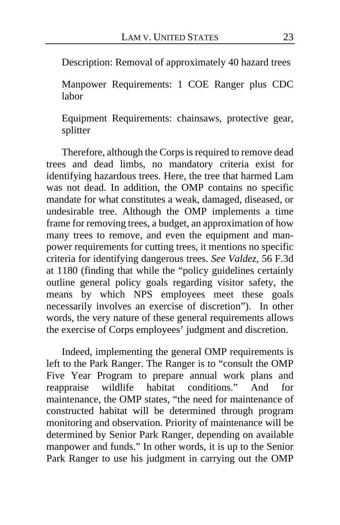Description: Removal of approximately 40 hazard trees

Manpower Requirements: 1 COE Ranger plus CDC labor

Equipment Requirements: chainsaws, protective gear, splitter

Therefore, although the Corps is required to remove dead trees and dead limbs, no mandatory criteria exist for identifying hazardous trees. Here, the tree that harmed Lam was not dead. In addition, the OMP contains no specific mandate for what constitutes a weak, damaged, diseased, or undesirable tree. Although the OMP implements a time frame for removing trees, a budget, an approximation of how many trees to remove, and even the equipment and manpower requirements for cutting trees, it mentions no specific criteria for identifying dangerous trees. *See Valdez*, 56 F.3d at 1180 (finding that while the "policy guidelines certainly outline general policy goals regarding visitor safety, the means by which NPS employees meet these goals necessarily involves an exercise of discretion"). In other words, the very nature of these general requirements allows the exercise of Corps employees' judgment and discretion.

Indeed, implementing the general OMP requirements is left to the Park Ranger. The Ranger is to "consult the OMP Five Year Program to prepare annual work plans and reappraise wildlife habitat conditions." And for maintenance, the OMP states, "the need for maintenance of constructed habitat will be determined through program monitoring and observation. Priority of maintenance will be determined by Senior Park Ranger, depending on available manpower and funds." In other words, it is up to the Senior Park Ranger to use his judgment in carrying out the OMP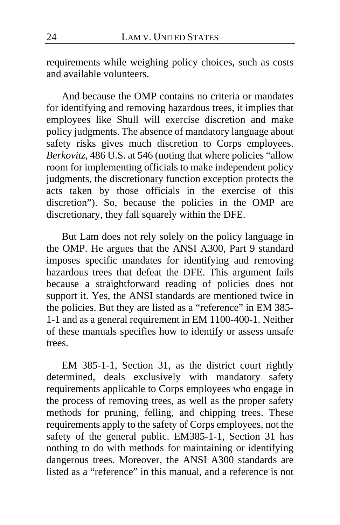requirements while weighing policy choices, such as costs and available volunteers.

And because the OMP contains no criteria or mandates for identifying and removing hazardous trees, it implies that employees like Shull will exercise discretion and make policy judgments. The absence of mandatory language about safety risks gives much discretion to Corps employees. *Berkovitz*, 486 U.S. at 546 (noting that where policies "allow room for implementing officials to make independent policy judgments, the discretionary function exception protects the acts taken by those officials in the exercise of this discretion"). So, because the policies in the OMP are discretionary, they fall squarely within the DFE.

But Lam does not rely solely on the policy language in the OMP. He argues that the ANSI A300, Part 9 standard imposes specific mandates for identifying and removing hazardous trees that defeat the DFE. This argument fails because a straightforward reading of policies does not support it. Yes, the ANSI standards are mentioned twice in the policies. But they are listed as a "reference" in EM 385- 1-1 and as a general requirement in EM 1100-400-1. Neither of these manuals specifies how to identify or assess unsafe trees.

EM 385-1-1, Section 31, as the district court rightly determined, deals exclusively with mandatory safety requirements applicable to Corps employees who engage in the process of removing trees, as well as the proper safety methods for pruning, felling, and chipping trees. These requirements apply to the safety of Corps employees, not the safety of the general public. EM385-1-1, Section 31 has nothing to do with methods for maintaining or identifying dangerous trees. Moreover, the ANSI A300 standards are listed as a "reference" in this manual, and a reference is not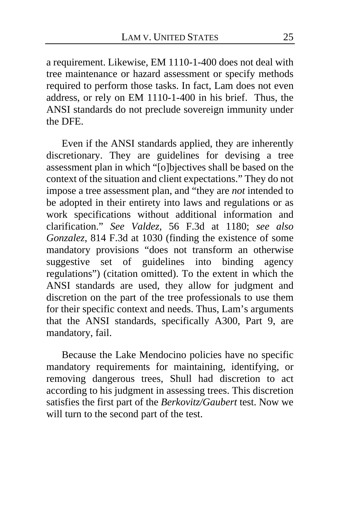a requirement. Likewise, EM 1110-1-400 does not deal with tree maintenance or hazard assessment or specify methods required to perform those tasks. In fact, Lam does not even address, or rely on EM 1110-1-400 in his brief. Thus, the ANSI standards do not preclude sovereign immunity under the DFE.

Even if the ANSI standards applied, they are inherently discretionary. They are guidelines for devising a tree assessment plan in which "[o]bjectives shall be based on the context of the situation and client expectations." They do not impose a tree assessment plan, and "they are *not* intended to be adopted in their entirety into laws and regulations or as work specifications without additional information and clarification." *See Valdez*, 56 F.3d at 1180; *see also Gonzalez*, 814 F.3d at 1030 (finding the existence of some mandatory provisions "does not transform an otherwise suggestive set of guidelines into binding agency regulations") (citation omitted). To the extent in which the ANSI standards are used, they allow for judgment and discretion on the part of the tree professionals to use them for their specific context and needs. Thus, Lam's arguments that the ANSI standards, specifically A300, Part 9, are mandatory, fail.

Because the Lake Mendocino policies have no specific mandatory requirements for maintaining, identifying, or removing dangerous trees, Shull had discretion to act according to his judgment in assessing trees. This discretion satisfies the first part of the *Berkovitz/Gaubert* test. Now we will turn to the second part of the test.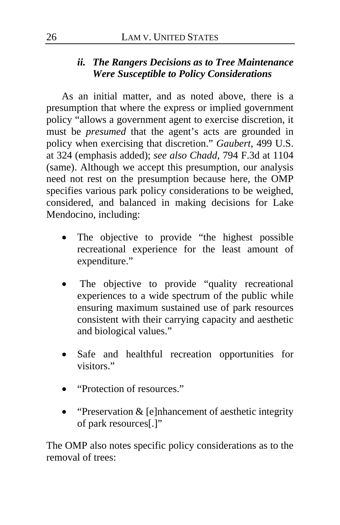### *ii. The Rangers Decisions as to Tree Maintenance Were Susceptible to Policy Considerations*

As an initial matter, and as noted above, there is a presumption that where the express or implied government policy "allows a government agent to exercise discretion, it must be *presumed* that the agent's acts are grounded in policy when exercising that discretion." *Gaubert*, 499 U.S. at 324 (emphasis added); *see also Chadd*, 794 F.3d at 1104 (same). Although we accept this presumption, our analysis need not rest on the presumption because here, the OMP specifies various park policy considerations to be weighed, considered, and balanced in making decisions for Lake Mendocino, including:

- The objective to provide "the highest possible recreational experience for the least amount of expenditure."
- The objective to provide "quality recreational experiences to a wide spectrum of the public while ensuring maximum sustained use of park resources consistent with their carrying capacity and aesthetic and biological values."
- Safe and healthful recreation opportunities for visitors."
- "Protection of resources."
- "Preservation & [e]nhancement of aesthetic integrity of park resources[.]"

The OMP also notes specific policy considerations as to the removal of trees: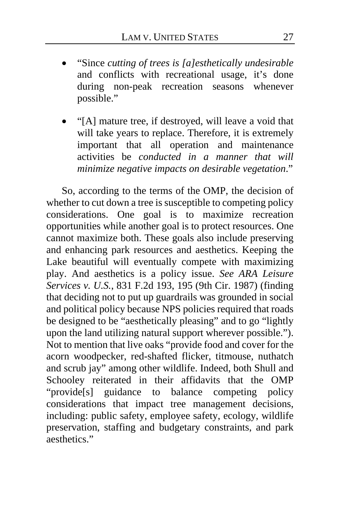- "Since *cutting of trees is [a]esthetically undesirable* and conflicts with recreational usage, it's done during non-peak recreation seasons whenever possible."
- "[A] mature tree, if destroyed, will leave a void that will take years to replace. Therefore, it is extremely important that all operation and maintenance activities be *conducted in a manner that will minimize negative impacts on desirable vegetation*."

So, according to the terms of the OMP, the decision of whether to cut down a tree is susceptible to competing policy considerations. One goal is to maximize recreation opportunities while another goal is to protect resources. One cannot maximize both. These goals also include preserving and enhancing park resources and aesthetics. Keeping the Lake beautiful will eventually compete with maximizing play. And aesthetics is a policy issue. *See ARA Leisure Services v. U.S.*, 831 F.2d 193, 195 (9th Cir. 1987) (finding that deciding not to put up guardrails was grounded in social and political policy because NPS policies required that roads be designed to be "aesthetically pleasing" and to go "lightly upon the land utilizing natural support wherever possible."). Not to mention that live oaks "provide food and cover for the acorn woodpecker, red-shafted flicker, titmouse, nuthatch and scrub jay" among other wildlife. Indeed, both Shull and Schooley reiterated in their affidavits that the OMP "provide[s] guidance to balance competing policy considerations that impact tree management decisions, including: public safety, employee safety, ecology, wildlife preservation, staffing and budgetary constraints, and park aesthetics."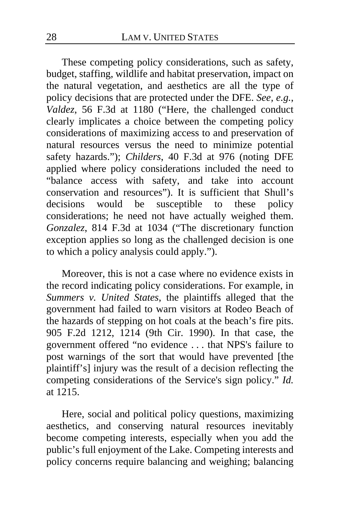These competing policy considerations, such as safety, budget, staffing, wildlife and habitat preservation, impact on the natural vegetation, and aesthetics are all the type of policy decisions that are protected under the DFE. *See, e.g.*, *Valdez*, 56 F.3d at 1180 ("Here, the challenged conduct clearly implicates a choice between the competing policy considerations of maximizing access to and preservation of natural resources versus the need to minimize potential safety hazards."); *Childers*, 40 F.3d at 976 (noting DFE applied where policy considerations included the need to "balance access with safety, and take into account conservation and resources"). It is sufficient that Shull's decisions would be susceptible to these policy considerations; he need not have actually weighed them. *Gonzalez*, 814 F.3d at 1034 ("The discretionary function exception applies so long as the challenged decision is one to which a policy analysis could apply.").

Moreover, this is not a case where no evidence exists in the record indicating policy considerations. For example, in *Summers v. United States*, the plaintiffs alleged that the government had failed to warn visitors at Rodeo Beach of the hazards of stepping on hot coals at the beach's fire pits. 905 F.2d 1212, 1214 (9th Cir. 1990). In that case, the government offered "no evidence . . . that NPS's failure to post warnings of the sort that would have prevented [the plaintiff's] injury was the result of a decision reflecting the competing considerations of the Service's sign policy." *Id.* at  $1215$ .

Here, social and political policy questions, maximizing aesthetics, and conserving natural resources inevitably become competing interests, especially when you add the public's full enjoyment of the Lake. Competing interests and policy concerns require balancing and weighing; balancing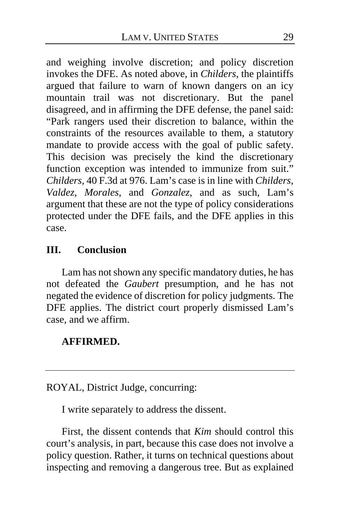and weighing involve discretion; and policy discretion invokes the DFE. As noted above, in *Childers*, the plaintiffs argued that failure to warn of known dangers on an icy mountain trail was not discretionary. But the panel disagreed, and in affirming the DFE defense, the panel said: "Park rangers used their discretion to balance, within the constraints of the resources available to them, a statutory mandate to provide access with the goal of public safety. This decision was precisely the kind the discretionary function exception was intended to immunize from suit." *Childers*, 40 F.3d at 976. Lam's case is in line with *Childers*, *Valdez*, *Morales*, and *Gonzalez*, and as such, Lam's argument that these are not the type of policy considerations protected under the DFE fails, and the DFE applies in this case.

# **III. Conclusion**

Lam has not shown any specific mandatory duties, he has not defeated the *Gaubert* presumption, and he has not negated the evidence of discretion for policy judgments. The DFE applies. The district court properly dismissed Lam's case, and we affirm.

### **AFFIRMED.**

ROYAL, District Judge, concurring:

I write separately to address the dissent.

First, the dissent contends that *Kim* should control this court's analysis, in part, because this case does not involve a policy question. Rather, it turns on technical questions about inspecting and removing a dangerous tree. But as explained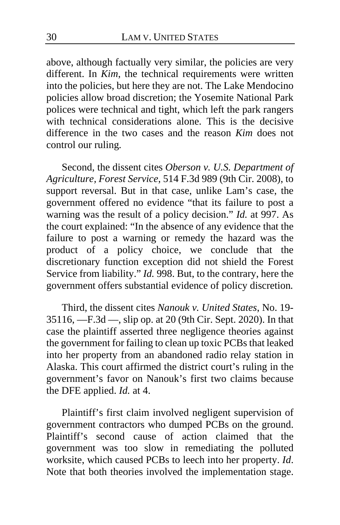above, although factually very similar, the policies are very different. In *Kim*, the technical requirements were written into the policies, but here they are not. The Lake Mendocino policies allow broad discretion; the Yosemite National Park polices were technical and tight, which left the park rangers with technical considerations alone. This is the decisive difference in the two cases and the reason *Kim* does not control our ruling*.*

Second, the dissent cites *Oberson v. U.S. Department of Agriculture, Forest Service*, 514 F.3d 989 (9th Cir. 2008), to support reversal. But in that case, unlike Lam's case, the government offered no evidence "that its failure to post a warning was the result of a policy decision." *Id.* at 997. As the court explained: "In the absence of any evidence that the failure to post a warning or remedy the hazard was the product of a policy choice, we conclude that the discretionary function exception did not shield the Forest Service from liability." *Id.* 998. But, to the contrary, here the government offers substantial evidence of policy discretion*.*

Third, the dissent cites *Nanouk v. United States*, No. 19- 35116, —F.3d —, slip op. at 20 (9th Cir. Sept. 2020). In that case the plaintiff asserted three negligence theories against the government for failing to clean up toxic PCBs that leaked into her property from an abandoned radio relay station in Alaska. This court affirmed the district court's ruling in the government's favor on Nanouk's first two claims because the DFE applied. *Id.* at 4.

Plaintiff's first claim involved negligent supervision of government contractors who dumped PCBs on the ground. Plaintiff's second cause of action claimed that the government was too slow in remediating the polluted worksite, which caused PCBs to leech into her property. *Id*. Note that both theories involved the implementation stage.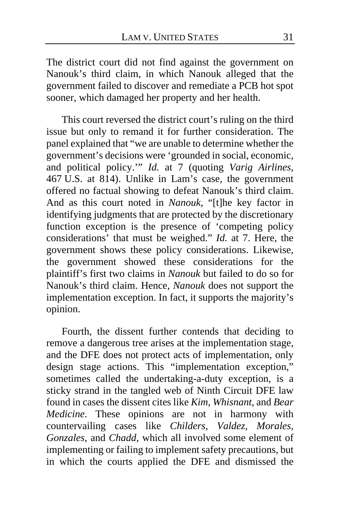The district court did not find against the government on Nanouk's third claim, in which Nanouk alleged that the government failed to discover and remediate a PCB hot spot sooner, which damaged her property and her health.

This court reversed the district court's ruling on the third issue but only to remand it for further consideration. The panel explained that "we are unable to determine whether the government's decisions were 'grounded in social, economic, and political policy.'" *Id.* at 7 (quoting *Varig Airlines*, 467 U.S. at 814). Unlike in Lam's case, the government offered no factual showing to defeat Nanouk's third claim. And as this court noted in *Nanouk*, "[t]he key factor in identifying judgments that are protected by the discretionary function exception is the presence of 'competing policy considerations' that must be weighed." *Id.* at 7. Here, the government shows these policy considerations. Likewise, the government showed these considerations for the plaintiff's first two claims in *Nanouk* but failed to do so for Nanouk's third claim. Hence, *Nanouk* does not support the implementation exception. In fact, it supports the majority's opinion.

Fourth, the dissent further contends that deciding to remove a dangerous tree arises at the implementation stage, and the DFE does not protect acts of implementation, only design stage actions. This "implementation exception," sometimes called the undertaking-a-duty exception, is a sticky strand in the tangled web of Ninth Circuit DFE law found in cases the dissent cites like *Kim*, *Whisnant*, and *Bear Medicine*. These opinions are not in harmony with countervailing cases like *Childers*, *Valdez*, *Morales*, *Gonzales*, and *Chadd*, which all involved some element of implementing or failing to implement safety precautions, but in which the courts applied the DFE and dismissed the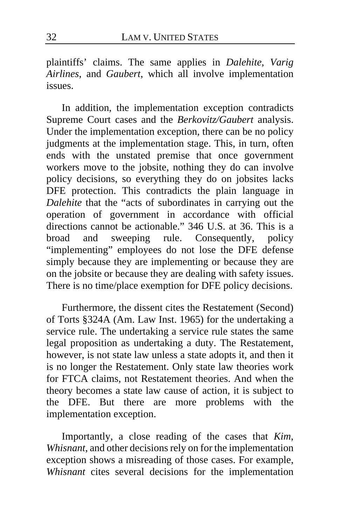plaintiffs' claims. The same applies in *Dalehite*, *Varig Airlines*, and *Gaubert*, which all involve implementation issues.

In addition, the implementation exception contradicts Supreme Court cases and the *Berkovitz/Gaubert* analysis. Under the implementation exception, there can be no policy judgments at the implementation stage. This, in turn, often ends with the unstated premise that once government workers move to the jobsite, nothing they do can involve policy decisions, so everything they do on jobsites lacks DFE protection. This contradicts the plain language in *Dalehite* that the "acts of subordinates in carrying out the operation of government in accordance with official directions cannot be actionable." 346 U.S. at 36. This is a broad and sweeping rule. Consequently, policy "implementing" employees do not lose the DFE defense simply because they are implementing or because they are on the jobsite or because they are dealing with safety issues. There is no time/place exemption for DFE policy decisions.

Furthermore, the dissent cites the Restatement (Second) of Torts §324A (Am. Law Inst. 1965) for the undertaking a service rule. The undertaking a service rule states the same legal proposition as undertaking a duty. The Restatement, however, is not state law unless a state adopts it, and then it is no longer the Restatement. Only state law theories work for FTCA claims, not Restatement theories. And when the theory becomes a state law cause of action, it is subject to the DFE. But there are more problems with the implementation exception.

Importantly, a close reading of the cases that *Kim*, *Whisnant*, and other decisions rely on for the implementation exception shows a misreading of those cases. For example, *Whisnant* cites several decisions for the implementation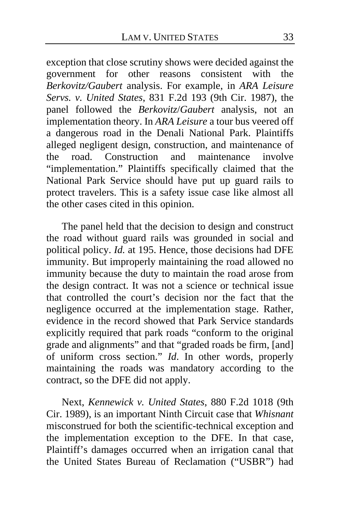exception that close scrutiny shows were decided against the government for other reasons consistent with the *Berkovitz/Gaubert* analysis. For example, in *ARA Leisure Servs. v. United States*, 831 F.2d 193 (9th Cir. 1987), the panel followed the *Berkovitz*/*Gaubert* analysis, not an implementation theory. In *ARA Leisure* a tour bus veered off a dangerous road in the Denali National Park. Plaintiffs alleged negligent design, construction, and maintenance of the road. Construction and maintenance involve "implementation." Plaintiffs specifically claimed that the National Park Service should have put up guard rails to protect travelers. This is a safety issue case like almost all the other cases cited in this opinion.

The panel held that the decision to design and construct the road without guard rails was grounded in social and political policy. *Id.* at 195. Hence, those decisions had DFE immunity. But improperly maintaining the road allowed no immunity because the duty to maintain the road arose from the design contract. It was not a science or technical issue that controlled the court's decision nor the fact that the negligence occurred at the implementation stage. Rather, evidence in the record showed that Park Service standards explicitly required that park roads "conform to the original grade and alignments" and that "graded roads be firm, [and] of uniform cross section." *Id*. In other words, properly maintaining the roads was mandatory according to the contract, so the DFE did not apply.

Next, *Kennewick v. United States*, 880 F.2d 1018 (9th Cir. 1989), is an important Ninth Circuit case that *Whisnant*  misconstrued for both the scientific-technical exception and the implementation exception to the DFE. In that case, Plaintiff's damages occurred when an irrigation canal that the United States Bureau of Reclamation ("USBR") had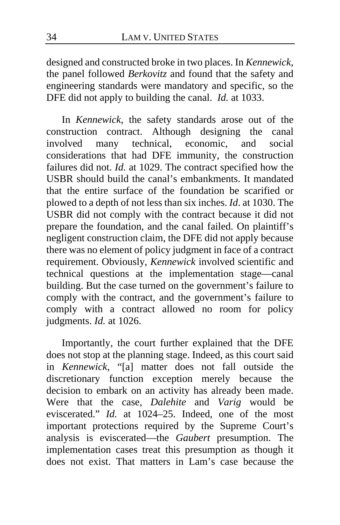designed and constructed broke in two places. In *Kennewick*, the panel followed *Berkovitz* and found that the safety and engineering standards were mandatory and specific, so the DFE did not apply to building the canal. *Id.* at 1033.

In *Kennewick*, the safety standards arose out of the construction contract. Although designing the canal<br>involved many technical, economic, and social involved many technical, economic, and social considerations that had DFE immunity, the construction failures did not. *Id.* at 1029. The contract specified how the USBR should build the canal's embankments. It mandated that the entire surface of the foundation be scarified or plowed to a depth of not less than six inches. *Id*. at 1030. The USBR did not comply with the contract because it did not prepare the foundation, and the canal failed. On plaintiff's negligent construction claim, the DFE did not apply because there was no element of policy judgment in face of a contract requirement. Obviously, *Kennewick* involved scientific and technical questions at the implementation stage—canal building. But the case turned on the government's failure to comply with the contract, and the government's failure to comply with a contract allowed no room for policy judgments. *Id.* at 1026.

Importantly, the court further explained that the DFE does not stop at the planning stage. Indeed, as this court said in *Kennewick*, "[a] matter does not fall outside the discretionary function exception merely because the decision to embark on an activity has already been made. Were that the case, *Dalehite* and *Varig* would be eviscerated." *Id.* at 1024–25. Indeed, one of the most important protections required by the Supreme Court's analysis is eviscerated—the *Gaubert* presumption. The implementation cases treat this presumption as though it does not exist. That matters in Lam's case because the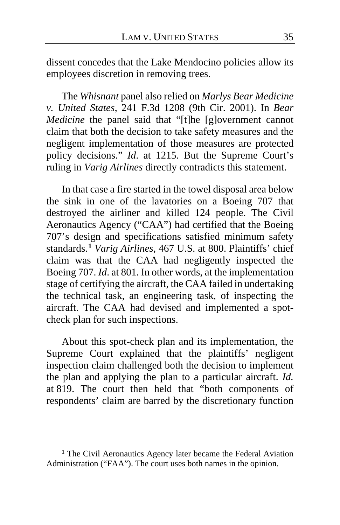dissent concedes that the Lake Mendocino policies allow its employees discretion in removing trees.

The *Whisnant* panel also relied on *Marlys Bear Medicine v. United States*, 241 F.3d 1208 (9th Cir. 2001). In *Bear Medicine* the panel said that "[t]he [g]overnment cannot claim that both the decision to take safety measures and the negligent implementation of those measures are protected policy decisions." *Id*. at 1215*.* But the Supreme Court's ruling in *Varig Airlines* directly contradicts this statement.

In that case a fire started in the towel disposal area below the sink in one of the lavatories on a Boeing 707 that destroyed the airliner and killed 124 people. The Civil Aeronautics Agency ("CAA") had certified that the Boeing 707's design and specifications satisfied minimum safety standards.**[1](#page-34-0)** *Varig Airlines*, 467 U.S. at 800. Plaintiffs' chief claim was that the CAA had negligently inspected the Boeing 707. *Id*. at 801. In other words, at the implementation stage of certifying the aircraft, the CAA failed in undertaking the technical task, an engineering task, of inspecting the aircraft. The CAA had devised and implemented a spotcheck plan for such inspections.

About this spot-check plan and its implementation, the Supreme Court explained that the plaintiffs' negligent inspection claim challenged both the decision to implement the plan and applying the plan to a particular aircraft. *Id.* at 819. The court then held that "both components of respondents' claim are barred by the discretionary function

<span id="page-34-0"></span>**<sup>1</sup>** The Civil Aeronautics Agency later became the Federal Aviation Administration ("FAA"). The court uses both names in the opinion.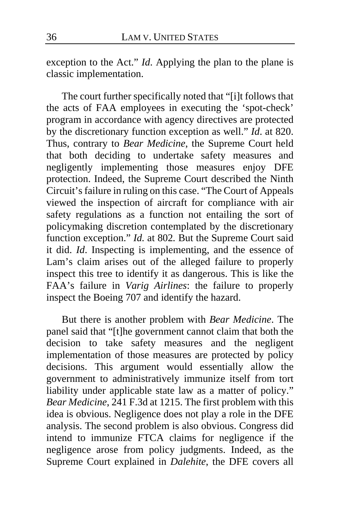exception to the Act." *Id*. Applying the plan to the plane is classic implementation.

The court further specifically noted that "[i]t follows that the acts of FAA employees in executing the 'spot-check' program in accordance with agency directives are protected by the discretionary function exception as well." *Id*. at 820. Thus, contrary to *Bear Medicine*, the Supreme Court held that both deciding to undertake safety measures and negligently implementing those measures enjoy DFE protection. Indeed, the Supreme Court described the Ninth Circuit's failure in ruling on this case. "The Court of Appeals viewed the inspection of aircraft for compliance with air safety regulations as a function not entailing the sort of policymaking discretion contemplated by the discretionary function exception." *Id.* at 802*.* But the Supreme Court said it did. *Id*. Inspecting is implementing, and the essence of Lam's claim arises out of the alleged failure to properly inspect this tree to identify it as dangerous. This is like the FAA's failure in *Varig Airlines*: the failure to properly inspect the Boeing 707 and identify the hazard.

But there is another problem with *Bear Medicine*. The panel said that "[t]he government cannot claim that both the decision to take safety measures and the negligent implementation of those measures are protected by policy decisions. This argument would essentially allow the government to administratively immunize itself from tort liability under applicable state law as a matter of policy." *Bear Medicine*, 241 F.3d at 1215. The first problem with this idea is obvious. Negligence does not play a role in the DFE analysis. The second problem is also obvious. Congress did intend to immunize FTCA claims for negligence if the negligence arose from policy judgments. Indeed, as the Supreme Court explained in *Dalehite*, the DFE covers all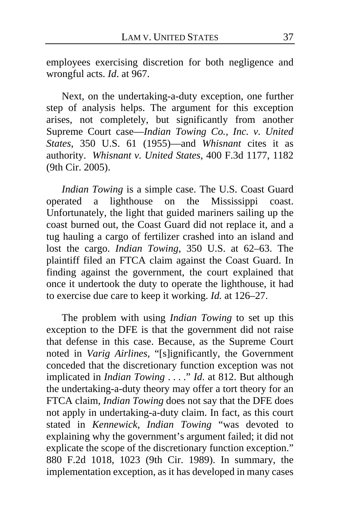employees exercising discretion for both negligence and wrongful acts. *Id*. at 967.

Next, on the undertaking-a-duty exception, one further step of analysis helps. The argument for this exception arises, not completely, but significantly from another Supreme Court case—*Indian Towing Co., Inc. v. United States*, 350 U.S. 61 (1955)—and *Whisnant* cites it as authority. *Whisnant v. United States*, 400 F.3d 1177, 1182 (9th Cir. 2005).

*Indian Towing* is a simple case. The U.S. Coast Guard operated a lighthouse on the Mississippi coast. Unfortunately, the light that guided mariners sailing up the coast burned out, the Coast Guard did not replace it, and a tug hauling a cargo of fertilizer crashed into an island and lost the cargo. *Indian Towing*, 350 U.S. at 62–63. The plaintiff filed an FTCA claim against the Coast Guard. In finding against the government, the court explained that once it undertook the duty to operate the lighthouse, it had to exercise due care to keep it working. *Id.* at 126–27.

The problem with using *Indian Towing* to set up this exception to the DFE is that the government did not raise that defense in this case. Because, as the Supreme Court noted in *Varig Airlines*, "[s]ignificantly, the Government conceded that the discretionary function exception was not implicated in *Indian Towing* . . . ." *Id*. at 812. But although the undertaking-a-duty theory may offer a tort theory for an FTCA claim, *Indian Towing* does not say that the DFE does not apply in undertaking-a-duty claim. In fact, as this court stated in *Kennewick*, *Indian Towing* "was devoted to explaining why the government's argument failed; it did not explicate the scope of the discretionary function exception." 880 F.2d 1018, 1023 (9th Cir. 1989). In summary, the implementation exception, as it has developed in many cases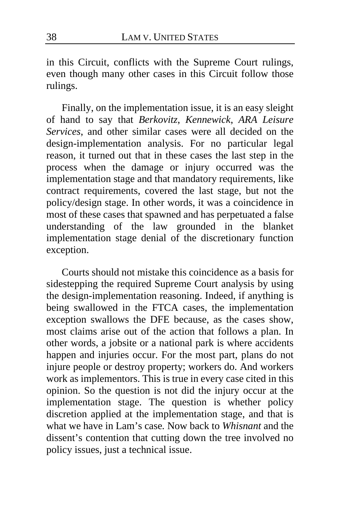in this Circuit, conflicts with the Supreme Court rulings, even though many other cases in this Circuit follow those rulings.

Finally, on the implementation issue, it is an easy sleight of hand to say that *Berkovitz*, *Kennewick*, *ARA Leisure Services*, and other similar cases were all decided on the design-implementation analysis. For no particular legal reason, it turned out that in these cases the last step in the process when the damage or injury occurred was the implementation stage and that mandatory requirements, like contract requirements, covered the last stage, but not the policy/design stage. In other words, it was a coincidence in most of these cases that spawned and has perpetuated a false understanding of the law grounded in the blanket implementation stage denial of the discretionary function exception.

Courts should not mistake this coincidence as a basis for sidestepping the required Supreme Court analysis by using the design-implementation reasoning. Indeed, if anything is being swallowed in the FTCA cases, the implementation exception swallows the DFE because, as the cases show, most claims arise out of the action that follows a plan. In other words, a jobsite or a national park is where accidents happen and injuries occur. For the most part, plans do not injure people or destroy property; workers do. And workers work as implementors. This is true in every case cited in this opinion. So the question is not did the injury occur at the implementation stage. The question is whether policy discretion applied at the implementation stage, and that is what we have in Lam's case*.* Now back to *Whisnant* and the dissent's contention that cutting down the tree involved no policy issues, just a technical issue.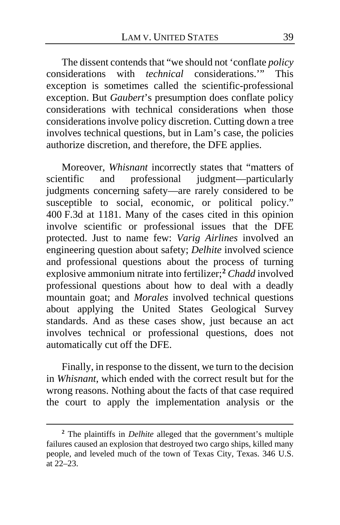The dissent contends that "we should not 'conflate *policy* considerations with *technical* considerations.'" This exception is sometimes called the scientific-professional exception. But *Gaubert*'s presumption does conflate policy considerations with technical considerations when those considerations involve policy discretion. Cutting down a tree involves technical questions, but in Lam's case, the policies authorize discretion, and therefore, the DFE applies.

Moreover, *Whisnant* incorrectly states that "matters of scientific and professional judgment—particularly judgments concerning safety—are rarely considered to be susceptible to social, economic, or political policy." 400 F.3d at 1181. Many of the cases cited in this opinion involve scientific or professional issues that the DFE protected. Just to name few: *Varig Airlines* involved an engineering question about safety; *Delhite* involved science and professional questions about the process of turning explosive ammonium nitrate into fertilizer;**[2](#page-38-0)** *Chadd* involved professional questions about how to deal with a deadly mountain goat; and *Morales* involved technical questions about applying the United States Geological Survey standards. And as these cases show, just because an act involves technical or professional questions, does not automatically cut off the DFE.

Finally, in response to the dissent, we turn to the decision in *Whisnant*, which ended with the correct result but for the wrong reasons. Nothing about the facts of that case required the court to apply the implementation analysis or the

<span id="page-38-0"></span>**<sup>2</sup>** The plaintiffs in *Delhite* alleged that the government's multiple failures caused an explosion that destroyed two cargo ships, killed many people, and leveled much of the town of Texas City, Texas. 346 U.S. at 22–23.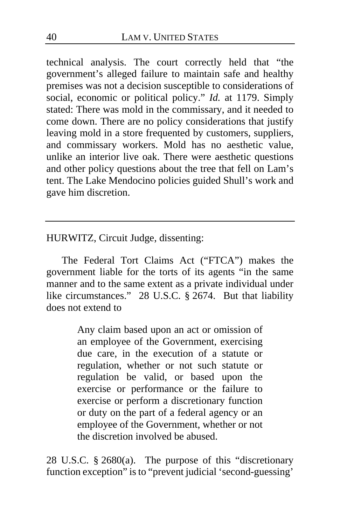technical analysis. The court correctly held that "the government's alleged failure to maintain safe and healthy premises was not a decision susceptible to considerations of social, economic or political policy." *Id.* at 1179. Simply stated: There was mold in the commissary, and it needed to come down. There are no policy considerations that justify leaving mold in a store frequented by customers, suppliers, and commissary workers. Mold has no aesthetic value, unlike an interior live oak. There were aesthetic questions and other policy questions about the tree that fell on Lam's tent. The Lake Mendocino policies guided Shull's work and gave him discretion.

HURWITZ, Circuit Judge, dissenting:

The Federal Tort Claims Act ("FTCA") makes the government liable for the torts of its agents "in the same manner and to the same extent as a private individual under like circumstances." 28 U.S.C. § 2674. But that liability does not extend to

> Any claim based upon an act or omission of an employee of the Government, exercising due care, in the execution of a statute or regulation, whether or not such statute or regulation be valid, or based upon the exercise or performance or the failure to exercise or perform a discretionary function or duty on the part of a federal agency or an employee of the Government, whether or not the discretion involved be abused.

28 U.S.C. § 2680(a). The purpose of this "discretionary function exception" is to "prevent judicial 'second-guessing'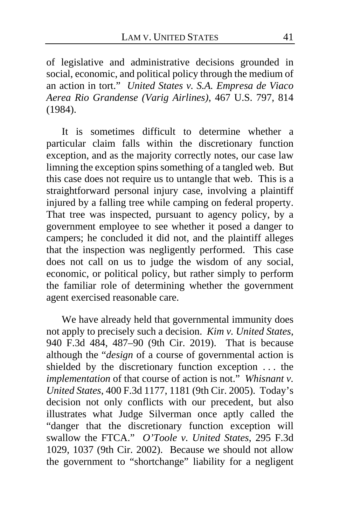of legislative and administrative decisions grounded in social, economic, and political policy through the medium of an action in tort." *United States v. S.A. Empresa de Viaco Aerea Rio Grandense (Varig Airlines)*, 467 U.S. 797, 814 (1984).

It is sometimes difficult to determine whether a particular claim falls within the discretionary function exception, and as the majority correctly notes, our case law limning the exception spins something of a tangled web. But this case does not require us to untangle that web. This is a straightforward personal injury case, involving a plaintiff injured by a falling tree while camping on federal property. That tree was inspected, pursuant to agency policy, by a government employee to see whether it posed a danger to campers; he concluded it did not, and the plaintiff alleges that the inspection was negligently performed. This case does not call on us to judge the wisdom of any social, economic, or political policy, but rather simply to perform the familiar role of determining whether the government agent exercised reasonable care.

We have already held that governmental immunity does not apply to precisely such a decision. *Kim v. United States*, 940 F.3d 484, 487–90 (9th Cir. 2019). That is because although the "*design* of a course of governmental action is shielded by the discretionary function exception . . . the *implementation* of that course of action is not." *Whisnant v. United States*, 400 F.3d 1177, 1181 (9th Cir. 2005). Today's decision not only conflicts with our precedent, but also illustrates what Judge Silverman once aptly called the "danger that the discretionary function exception will swallow the FTCA." *O'Toole v. United States*, 295 F.3d 1029, 1037 (9th Cir. 2002). Because we should not allow the government to "shortchange" liability for a negligent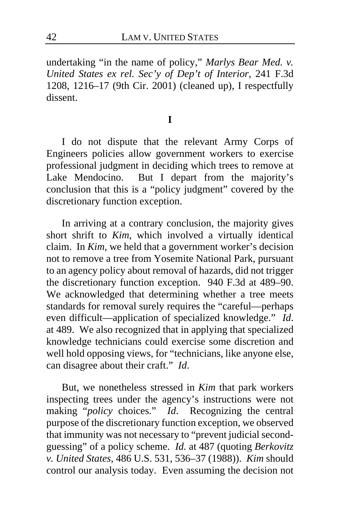undertaking "in the name of policy," *Marlys Bear Med. v. United States ex rel. Sec'y of Dep't of Interior*, 241 F.3d 1208, 1216–17 (9th Cir. 2001) (cleaned up), I respectfully dissent.

**I**

I do not dispute that the relevant Army Corps of Engineers policies allow government workers to exercise professional judgment in deciding which trees to remove at Lake Mendocino. But I depart from the majority's But I depart from the majority's conclusion that this is a "policy judgment" covered by the discretionary function exception.

In arriving at a contrary conclusion, the majority gives short shrift to *Kim*, which involved a virtually identical claim. In *Kim*, we held that a government worker's decision not to remove a tree from Yosemite National Park, pursuant to an agency policy about removal of hazards, did not trigger the discretionary function exception. 940 F.3d at 489–90. We acknowledged that determining whether a tree meets standards for removal surely requires the "careful—perhaps even difficult—application of specialized knowledge." *Id*. at 489. We also recognized that in applying that specialized knowledge technicians could exercise some discretion and well hold opposing views, for "technicians, like anyone else, can disagree about their craft." *Id*.

But, we nonetheless stressed in *Kim* that park workers inspecting trees under the agency's instructions were not making "*policy* choices." *Id*. Recognizing the central purpose of the discretionary function exception, we observed that immunity was not necessary to "prevent judicial secondguessing" of a policy scheme. *Id.* at 487 (quoting *Berkovitz v. United States*, 486 U.S. 531, 536–37 (1988)). *Kim* should control our analysis today. Even assuming the decision not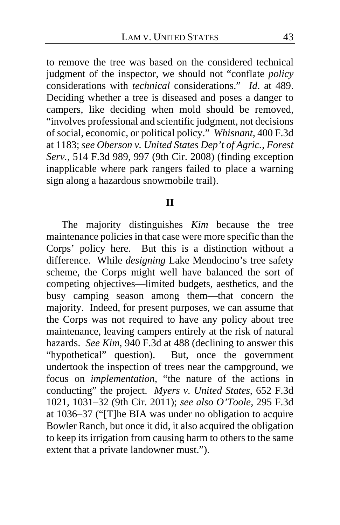to remove the tree was based on the considered technical judgment of the inspector, we should not "conflate *policy*  considerations with *technical* considerations." *Id*. at 489. Deciding whether a tree is diseased and poses a danger to campers, like deciding when mold should be removed, "involves professional and scientific judgment, not decisions of social, economic, or political policy." *Whisnant*, 400 F.3d at 1183; *see Oberson v. United States Dep't of Agric., Forest Serv.*, 514 F.3d 989, 997 (9th Cir. 2008) (finding exception inapplicable where park rangers failed to place a warning sign along a hazardous snowmobile trail).

#### **II**

The majority distinguishes *Kim* because the tree maintenance policies in that case were more specific than the Corps' policy here. But this is a distinction without a difference. While *designing* Lake Mendocino's tree safety scheme, the Corps might well have balanced the sort of competing objectives—limited budgets, aesthetics, and the busy camping season among them—that concern the majority. Indeed, for present purposes, we can assume that the Corps was not required to have any policy about tree maintenance, leaving campers entirely at the risk of natural hazards. *See Kim*, 940 F.3d at 488 (declining to answer this "hypothetical" question). But, once the government undertook the inspection of trees near the campground, we focus on *implementation*, "the nature of the actions in conducting" the project. *Myers v. United States*, 652 F.3d 1021, 1031–32 (9th Cir. 2011); *see also O'Toole*, 295 F.3d at 1036–37 ("[T]he BIA was under no obligation to acquire Bowler Ranch, but once it did, it also acquired the obligation to keep its irrigation from causing harm to others to the same extent that a private landowner must.").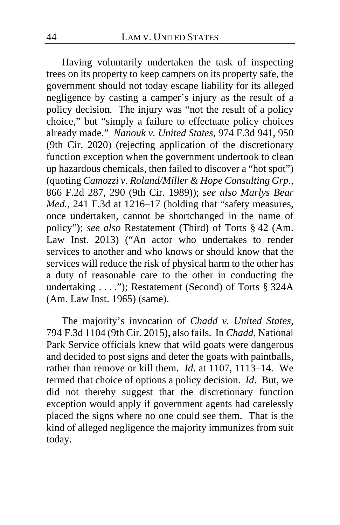Having voluntarily undertaken the task of inspecting trees on its property to keep campers on its property safe, the government should not today escape liability for its alleged negligence by casting a camper's injury as the result of a policy decision. The injury was "not the result of a policy choice," but "simply a failure to effectuate policy choices already made." *Nanouk v. United States*, 974 F.3d 941, 950 (9th Cir. 2020) (rejecting application of the discretionary function exception when the government undertook to clean up hazardous chemicals, then failed to discover a "hot spot") (quoting *Camozzi v. Roland/Miller & Hope Consulting Grp.*, 866 F.2d 287, 290 (9th Cir. 1989)); *see also Marlys Bear Med.*, 241 F.3d at 1216–17 (holding that "safety measures, once undertaken, cannot be shortchanged in the name of policy"); *see also* Restatement (Third) of Torts § 42 (Am. Law Inst. 2013) ("An actor who undertakes to render services to another and who knows or should know that the services will reduce the risk of physical harm to the other has a duty of reasonable care to the other in conducting the undertaking . . . ."); Restatement (Second) of Torts § 324A (Am. Law Inst. 1965) (same).

The majority's invocation of *Chadd v. United States*, 794 F.3d 1104 (9th Cir. 2015), also fails. In *Chadd*, National Park Service officials knew that wild goats were dangerous and decided to post signs and deter the goats with paintballs, rather than remove or kill them. *Id*. at 1107, 1113–14. We termed that choice of options a policy decision. *Id*. But, we did not thereby suggest that the discretionary function exception would apply if government agents had carelessly placed the signs where no one could see them. That is the kind of alleged negligence the majority immunizes from suit today.